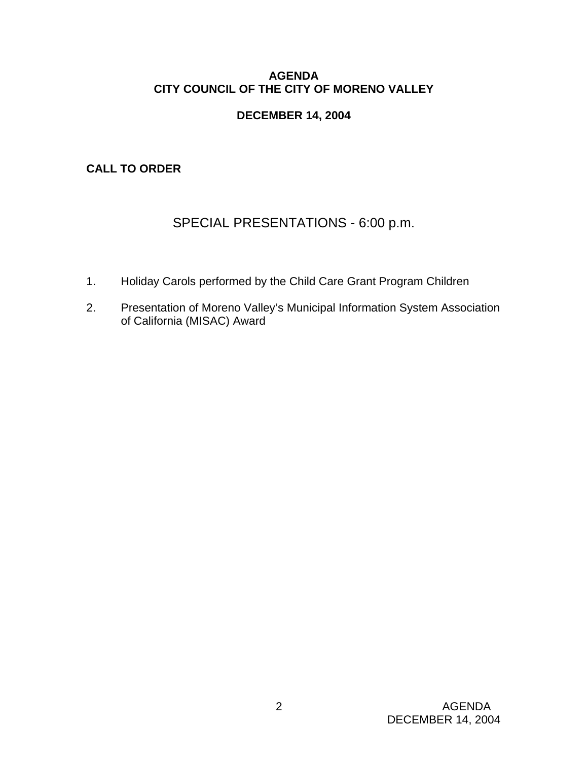# **AGENDA CITY COUNCIL OF THE CITY OF MORENO VALLEY**

# **DECEMBER 14, 2004**

**CALL TO ORDER** 

# SPECIAL PRESENTATIONS - 6:00 p.m.

- 1. Holiday Carols performed by the Child Care Grant Program Children
- 2. Presentation of Moreno Valley's Municipal Information System Association of California (MISAC) Award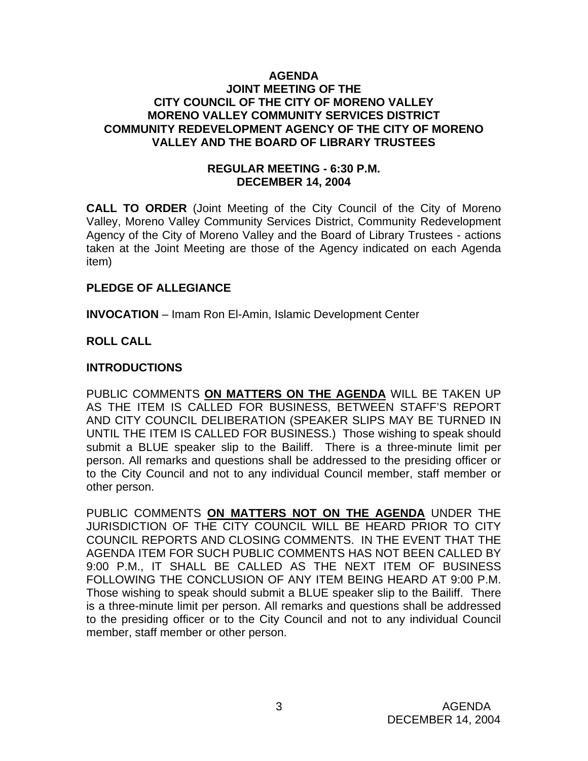### **AGENDA JOINT MEETING OF THE CITY COUNCIL OF THE CITY OF MORENO VALLEY MORENO VALLEY COMMUNITY SERVICES DISTRICT COMMUNITY REDEVELOPMENT AGENCY OF THE CITY OF MORENO VALLEY AND THE BOARD OF LIBRARY TRUSTEES**

# **REGULAR MEETING - 6:30 P.M. DECEMBER 14, 2004**

**CALL TO ORDER** (Joint Meeting of the City Council of the City of Moreno Valley, Moreno Valley Community Services District, Community Redevelopment Agency of the City of Moreno Valley and the Board of Library Trustees - actions taken at the Joint Meeting are those of the Agency indicated on each Agenda item)

# **PLEDGE OF ALLEGIANCE**

**INVOCATION** – Imam Ron El-Amin, Islamic Development Center

# **ROLL CALL**

# **INTRODUCTIONS**

PUBLIC COMMENTS **ON MATTERS ON THE AGENDA** WILL BE TAKEN UP AS THE ITEM IS CALLED FOR BUSINESS, BETWEEN STAFF'S REPORT AND CITY COUNCIL DELIBERATION (SPEAKER SLIPS MAY BE TURNED IN UNTIL THE ITEM IS CALLED FOR BUSINESS.) Those wishing to speak should submit a BLUE speaker slip to the Bailiff. There is a three-minute limit per person. All remarks and questions shall be addressed to the presiding officer or to the City Council and not to any individual Council member, staff member or other person.

PUBLIC COMMENTS **ON MATTERS NOT ON THE AGENDA** UNDER THE JURISDICTION OF THE CITY COUNCIL WILL BE HEARD PRIOR TO CITY COUNCIL REPORTS AND CLOSING COMMENTS. IN THE EVENT THAT THE AGENDA ITEM FOR SUCH PUBLIC COMMENTS HAS NOT BEEN CALLED BY 9:00 P.M., IT SHALL BE CALLED AS THE NEXT ITEM OF BUSINESS FOLLOWING THE CONCLUSION OF ANY ITEM BEING HEARD AT 9:00 P.M. Those wishing to speak should submit a BLUE speaker slip to the Bailiff. There is a three-minute limit per person. All remarks and questions shall be addressed to the presiding officer or to the City Council and not to any individual Council member, staff member or other person.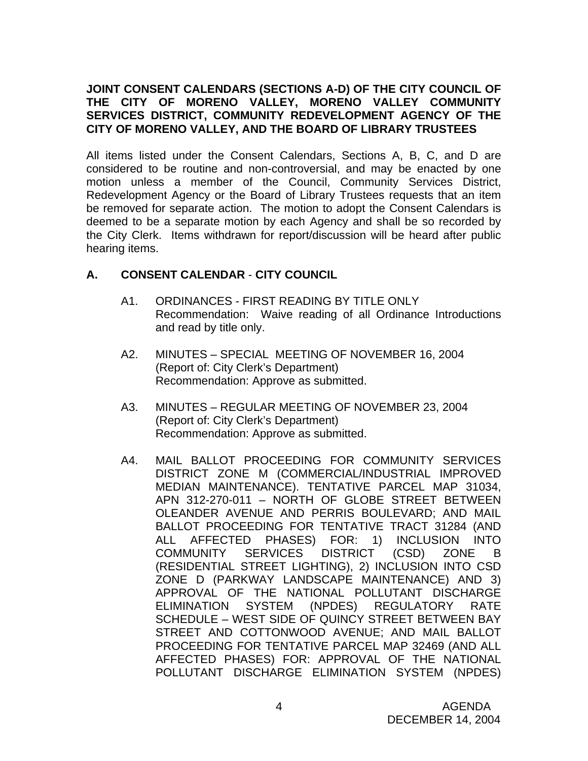# **JOINT CONSENT CALENDARS (SECTIONS A-D) OF THE CITY COUNCIL OF THE CITY OF MORENO VALLEY, MORENO VALLEY COMMUNITY SERVICES DISTRICT, COMMUNITY REDEVELOPMENT AGENCY OF THE CITY OF MORENO VALLEY, AND THE BOARD OF LIBRARY TRUSTEES**

All items listed under the Consent Calendars, Sections A, B, C, and D are considered to be routine and non-controversial, and may be enacted by one motion unless a member of the Council, Community Services District, Redevelopment Agency or the Board of Library Trustees requests that an item be removed for separate action. The motion to adopt the Consent Calendars is deemed to be a separate motion by each Agency and shall be so recorded by the City Clerk. Items withdrawn for report/discussion will be heard after public hearing items.

# **A. CONSENT CALENDAR** - **CITY COUNCIL**

- A1. ORDINANCES FIRST READING BY TITLE ONLY Recommendation: Waive reading of all Ordinance Introductions and read by title only.
- A2. MINUTES SPECIAL MEETING OF NOVEMBER 16, 2004 (Report of: City Clerk's Department) Recommendation: Approve as submitted.
- A3. MINUTES REGULAR MEETING OF NOVEMBER 23, 2004 (Report of: City Clerk's Department) Recommendation: Approve as submitted.
- A4. MAIL BALLOT PROCEEDING FOR COMMUNITY SERVICES DISTRICT ZONE M (COMMERCIAL/INDUSTRIAL IMPROVED MEDIAN MAINTENANCE). TENTATIVE PARCEL MAP 31034, APN 312-270-011 – NORTH OF GLOBE STREET BETWEEN OLEANDER AVENUE AND PERRIS BOULEVARD; AND MAIL BALLOT PROCEEDING FOR TENTATIVE TRACT 31284 (AND ALL AFFECTED PHASES) FOR: 1) INCLUSION INTO COMMUNITY SERVICES DISTRICT (CSD) ZONE B (RESIDENTIAL STREET LIGHTING), 2) INCLUSION INTO CSD ZONE D (PARKWAY LANDSCAPE MAINTENANCE) AND 3) APPROVAL OF THE NATIONAL POLLUTANT DISCHARGE ELIMINATION SYSTEM (NPDES) REGULATORY RATE SCHEDULE – WEST SIDE OF QUINCY STREET BETWEEN BAY STREET AND COTTONWOOD AVENUE; AND MAIL BALLOT PROCEEDING FOR TENTATIVE PARCEL MAP 32469 (AND ALL AFFECTED PHASES) FOR: APPROVAL OF THE NATIONAL POLLUTANT DISCHARGE ELIMINATION SYSTEM (NPDES)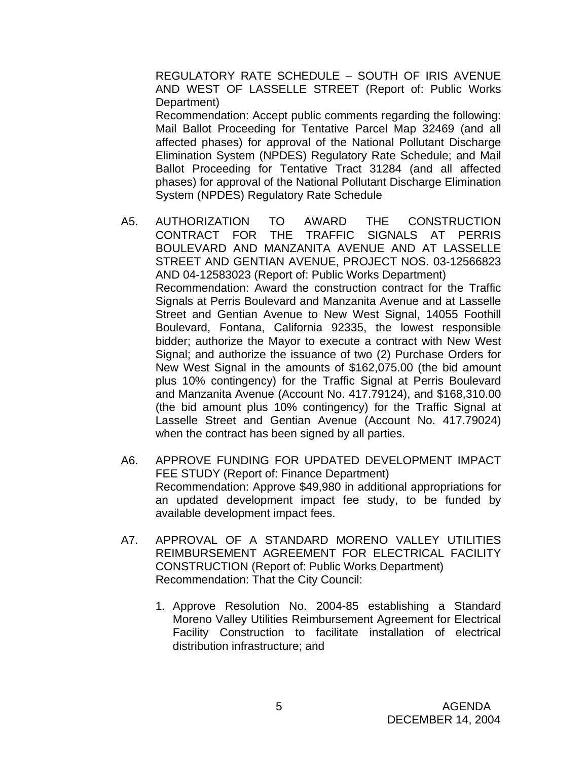REGULATORY RATE SCHEDULE – SOUTH OF IRIS AVENUE AND WEST OF LASSELLE STREET (Report of: Public Works Department)

 Recommendation: Accept public comments regarding the following: Mail Ballot Proceeding for Tentative Parcel Map 32469 (and all affected phases) for approval of the National Pollutant Discharge Elimination System (NPDES) Regulatory Rate Schedule; and Mail Ballot Proceeding for Tentative Tract 31284 (and all affected phases) for approval of the National Pollutant Discharge Elimination System (NPDES) Regulatory Rate Schedule

- A5. AUTHORIZATION TO AWARD THE CONSTRUCTION CONTRACT FOR THE TRAFFIC SIGNALS AT PERRIS BOULEVARD AND MANZANITA AVENUE AND AT LASSELLE STREET AND GENTIAN AVENUE, PROJECT NOS. 03-12566823 AND 04-12583023 (Report of: Public Works Department) Recommendation: Award the construction contract for the Traffic Signals at Perris Boulevard and Manzanita Avenue and at Lasselle Street and Gentian Avenue to New West Signal, 14055 Foothill Boulevard, Fontana, California 92335, the lowest responsible bidder; authorize the Mayor to execute a contract with New West Signal; and authorize the issuance of two (2) Purchase Orders for New West Signal in the amounts of \$162,075.00 (the bid amount plus 10% contingency) for the Traffic Signal at Perris Boulevard and Manzanita Avenue (Account No. 417.79124), and \$168,310.00 (the bid amount plus 10% contingency) for the Traffic Signal at Lasselle Street and Gentian Avenue (Account No. 417.79024) when the contract has been signed by all parties.
- A6. APPROVE FUNDING FOR UPDATED DEVELOPMENT IMPACT FEE STUDY (Report of: Finance Department) Recommendation: Approve \$49,980 in additional appropriations for an updated development impact fee study, to be funded by available development impact fees.
- A7. APPROVAL OF A STANDARD MORENO VALLEY UTILITIES REIMBURSEMENT AGREEMENT FOR ELECTRICAL FACILITY CONSTRUCTION (Report of: Public Works Department) Recommendation: That the City Council:
	- 1. Approve Resolution No. 2004-85 establishing a Standard Moreno Valley Utilities Reimbursement Agreement for Electrical Facility Construction to facilitate installation of electrical distribution infrastructure; and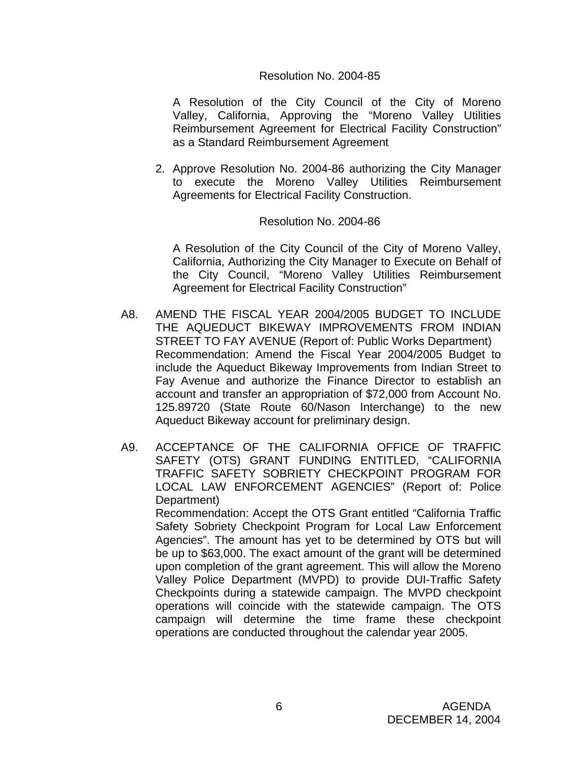A Resolution of the City Council of the City of Moreno Valley, California, Approving the "Moreno Valley Utilities Reimbursement Agreement for Electrical Facility Construction" as a Standard Reimbursement Agreement

2. Approve Resolution No. 2004-86 authorizing the City Manager to execute the Moreno Valley Utilities Reimbursement Agreements for Electrical Facility Construction.

#### Resolution No. 2004-86

 A Resolution of the City Council of the City of Moreno Valley, California, Authorizing the City Manager to Execute on Behalf of the City Council, "Moreno Valley Utilities Reimbursement Agreement for Electrical Facility Construction"

- A8. AMEND THE FISCAL YEAR 2004/2005 BUDGET TO INCLUDE THE AQUEDUCT BIKEWAY IMPROVEMENTS FROM INDIAN STREET TO FAY AVENUE (Report of: Public Works Department) Recommendation: Amend the Fiscal Year 2004/2005 Budget to include the Aqueduct Bikeway Improvements from Indian Street to Fay Avenue and authorize the Finance Director to establish an account and transfer an appropriation of \$72,000 from Account No. 125.89720 (State Route 60/Nason Interchange) to the new Aqueduct Bikeway account for preliminary design.
- A9. ACCEPTANCE OF THE CALIFORNIA OFFICE OF TRAFFIC SAFETY (OTS) GRANT FUNDING ENTITLED, "CALIFORNIA TRAFFIC SAFETY SOBRIETY CHECKPOINT PROGRAM FOR LOCAL LAW ENFORCEMENT AGENCIES" (Report of: Police Department) Recommendation: Accept the OTS Grant entitled "California Traffic Safety Sobriety Checkpoint Program for Local Law Enforcement Agencies". The amount has yet to be determined by OTS but will be up to \$63,000. The exact amount of the grant will be determined

upon completion of the grant agreement. This will allow the Moreno Valley Police Department (MVPD) to provide DUI-Traffic Safety Checkpoints during a statewide campaign. The MVPD checkpoint operations will coincide with the statewide campaign. The OTS campaign will determine the time frame these checkpoint operations are conducted throughout the calendar year 2005.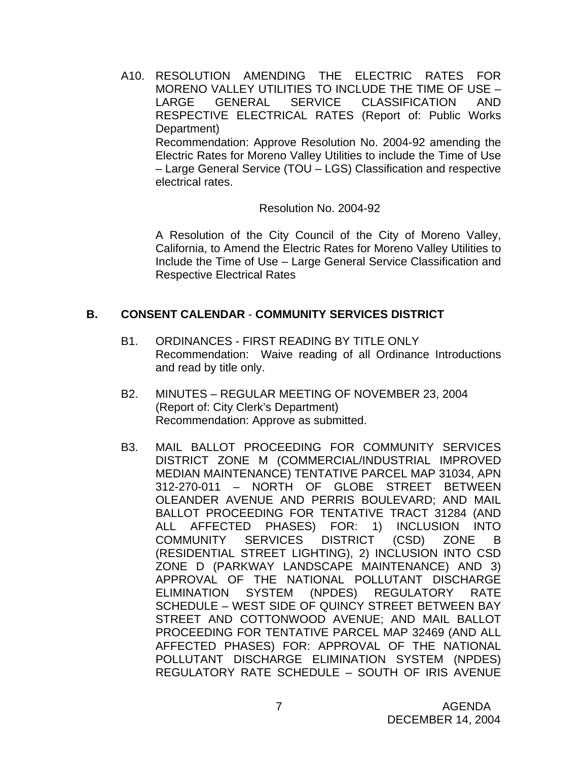A10. RESOLUTION AMENDING THE ELECTRIC RATES FOR MORENO VALLEY UTILITIES TO INCLUDE THE TIME OF USE – LARGE GENERAL SERVICE CLASSIFICATION AND RESPECTIVE ELECTRICAL RATES (Report of: Public Works Department) Recommendation: Approve Resolution No. 2004-92 amending the Electric Rates for Moreno Valley Utilities to include the Time of Use – Large General Service (TOU – LGS) Classification and respective electrical rates.

Resolution No. 2004-92

 A Resolution of the City Council of the City of Moreno Valley, California, to Amend the Electric Rates for Moreno Valley Utilities to Include the Time of Use – Large General Service Classification and Respective Electrical Rates

# **B. CONSENT CALENDAR** - **COMMUNITY SERVICES DISTRICT**

- B1. ORDINANCES FIRST READING BY TITLE ONLY Recommendation: Waive reading of all Ordinance Introductions and read by title only.
- B2. MINUTES REGULAR MEETING OF NOVEMBER 23, 2004 (Report of: City Clerk's Department) Recommendation: Approve as submitted.
- B3. MAIL BALLOT PROCEEDING FOR COMMUNITY SERVICES DISTRICT ZONE M (COMMERCIAL/INDUSTRIAL IMPROVED MEDIAN MAINTENANCE) TENTATIVE PARCEL MAP 31034, APN 312-270-011 – NORTH OF GLOBE STREET BETWEEN OLEANDER AVENUE AND PERRIS BOULEVARD; AND MAIL BALLOT PROCEEDING FOR TENTATIVE TRACT 31284 (AND ALL AFFECTED PHASES) FOR: 1) INCLUSION INTO COMMUNITY SERVICES DISTRICT (CSD) ZONE B (RESIDENTIAL STREET LIGHTING), 2) INCLUSION INTO CSD ZONE D (PARKWAY LANDSCAPE MAINTENANCE) AND 3) APPROVAL OF THE NATIONAL POLLUTANT DISCHARGE ELIMINATION SYSTEM (NPDES) REGULATORY RATE SCHEDULE – WEST SIDE OF QUINCY STREET BETWEEN BAY STREET AND COTTONWOOD AVENUE; AND MAIL BALLOT PROCEEDING FOR TENTATIVE PARCEL MAP 32469 (AND ALL AFFECTED PHASES) FOR: APPROVAL OF THE NATIONAL POLLUTANT DISCHARGE ELIMINATION SYSTEM (NPDES) REGULATORY RATE SCHEDULE – SOUTH OF IRIS AVENUE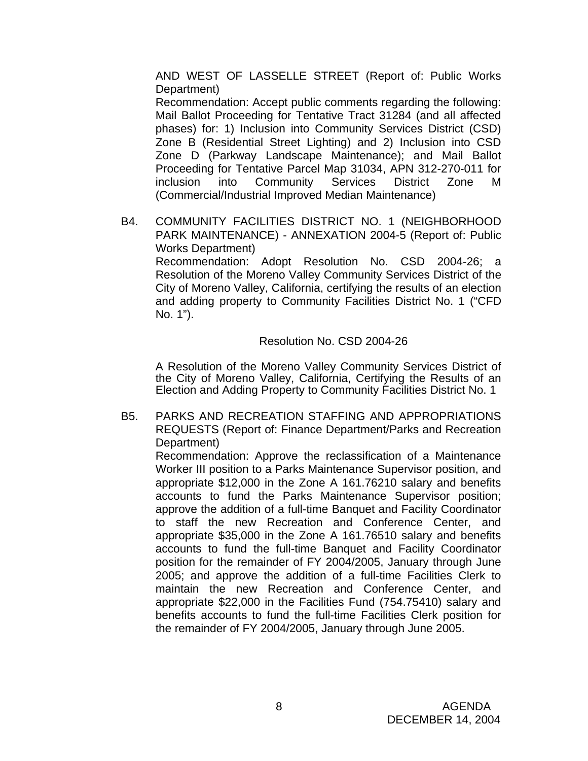AND WEST OF LASSELLE STREET (Report of: Public Works Department)

Recommendation: Accept public comments regarding the following: Mail Ballot Proceeding for Tentative Tract 31284 (and all affected phases) for: 1) Inclusion into Community Services District (CSD) Zone B (Residential Street Lighting) and 2) Inclusion into CSD Zone D (Parkway Landscape Maintenance); and Mail Ballot Proceeding for Tentative Parcel Map 31034, APN 312-270-011 for inclusion into Community Services District Zone M (Commercial/Industrial Improved Median Maintenance)

B4. COMMUNITY FACILITIES DISTRICT NO. 1 (NEIGHBORHOOD PARK MAINTENANCE) - ANNEXATION 2004-5 (Report of: Public Works Department) Recommendation: Adopt Resolution No. CSD 2004-26; a Resolution of the Moreno Valley Community Services District of the City of Moreno Valley, California, certifying the results of an election

and adding property to Community Facilities District No. 1 ("CFD No. 1").

Resolution No. CSD 2004-26

 A Resolution of the Moreno Valley Community Services District of the City of Moreno Valley, California, Certifying the Results of an Election and Adding Property to Community Facilities District No. 1

B5. PARKS AND RECREATION STAFFING AND APPROPRIATIONS REQUESTS (Report of: Finance Department/Parks and Recreation Department)

 Recommendation: Approve the reclassification of a Maintenance Worker III position to a Parks Maintenance Supervisor position, and appropriate \$12,000 in the Zone A 161.76210 salary and benefits accounts to fund the Parks Maintenance Supervisor position; approve the addition of a full-time Banquet and Facility Coordinator to staff the new Recreation and Conference Center, and appropriate \$35,000 in the Zone A 161.76510 salary and benefits accounts to fund the full-time Banquet and Facility Coordinator position for the remainder of FY 2004/2005, January through June 2005; and approve the addition of a full-time Facilities Clerk to maintain the new Recreation and Conference Center, and appropriate \$22,000 in the Facilities Fund (754.75410) salary and benefits accounts to fund the full-time Facilities Clerk position for the remainder of FY 2004/2005, January through June 2005.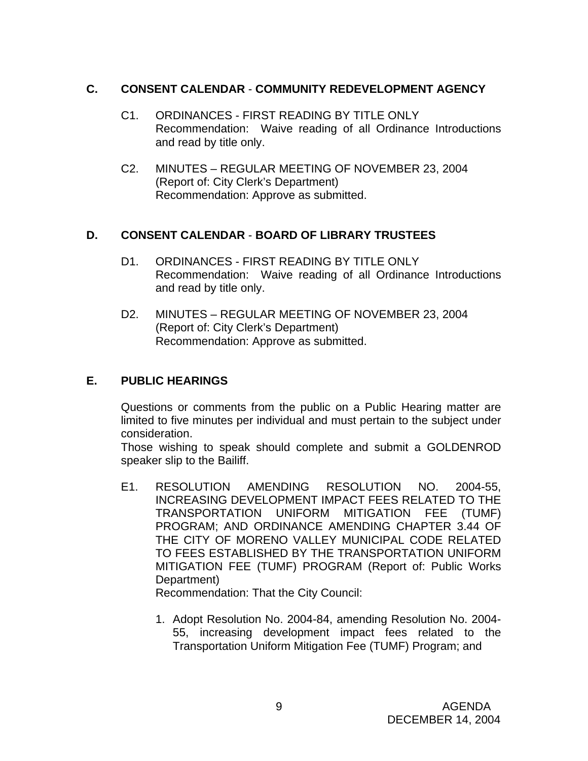# **C. CONSENT CALENDAR** - **COMMUNITY REDEVELOPMENT AGENCY**

- C1. ORDINANCES FIRST READING BY TITLE ONLY Recommendation: Waive reading of all Ordinance Introductions and read by title only.
- C2. MINUTES REGULAR MEETING OF NOVEMBER 23, 2004 (Report of: City Clerk's Department) Recommendation: Approve as submitted.

# **D. CONSENT CALENDAR** - **BOARD OF LIBRARY TRUSTEES**

- D1. ORDINANCES FIRST READING BY TITLE ONLY Recommendation: Waive reading of all Ordinance Introductions and read by title only.
- D2. MINUTES REGULAR MEETING OF NOVEMBER 23, 2004 (Report of: City Clerk's Department) Recommendation: Approve as submitted.

# **E. PUBLIC HEARINGS**

Questions or comments from the public on a Public Hearing matter are limited to five minutes per individual and must pertain to the subject under consideration.

 Those wishing to speak should complete and submit a GOLDENROD speaker slip to the Bailiff.

E1. RESOLUTION AMENDING RESOLUTION NO. 2004-55, INCREASING DEVELOPMENT IMPACT FEES RELATED TO THE TRANSPORTATION UNIFORM MITIGATION FEE (TUMF) PROGRAM; AND ORDINANCE AMENDING CHAPTER 3.44 OF THE CITY OF MORENO VALLEY MUNICIPAL CODE RELATED TO FEES ESTABLISHED BY THE TRANSPORTATION UNIFORM MITIGATION FEE (TUMF) PROGRAM (Report of: Public Works Department)

Recommendation: That the City Council:

1. Adopt Resolution No. 2004-84, amending Resolution No. 2004- 55, increasing development impact fees related to the Transportation Uniform Mitigation Fee (TUMF) Program; and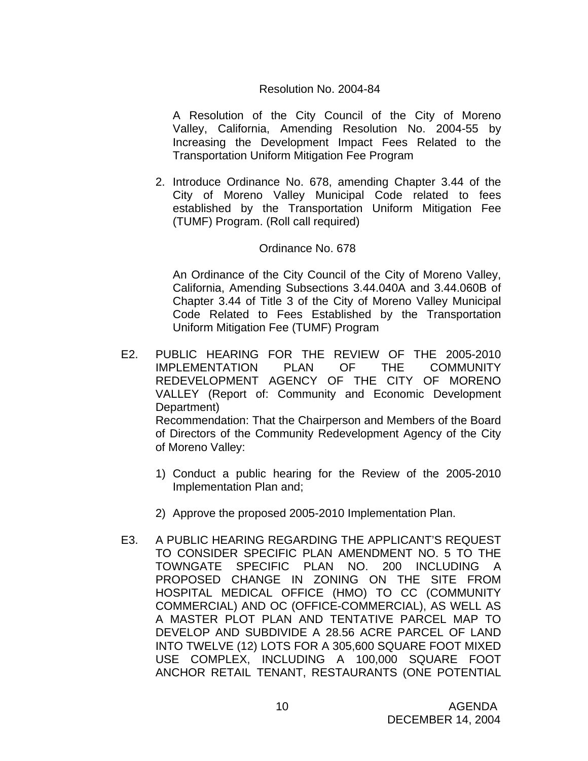A Resolution of the City Council of the City of Moreno Valley, California, Amending Resolution No. 2004-55 by Increasing the Development Impact Fees Related to the Transportation Uniform Mitigation Fee Program

2. Introduce Ordinance No. 678, amending Chapter 3.44 of the City of Moreno Valley Municipal Code related to fees established by the Transportation Uniform Mitigation Fee (TUMF) Program. (Roll call required)

# Ordinance No. 678

 An Ordinance of the City Council of the City of Moreno Valley, California, Amending Subsections 3.44.040A and 3.44.060B of Chapter 3.44 of Title 3 of the City of Moreno Valley Municipal Code Related to Fees Established by the Transportation Uniform Mitigation Fee (TUMF) Program

- E2. PUBLIC HEARING FOR THE REVIEW OF THE 2005-2010 IMPLEMENTATION PLAN OF THE COMMUNITY REDEVELOPMENT AGENCY OF THE CITY OF MORENO VALLEY (Report of: Community and Economic Development Department) Recommendation: That the Chairperson and Members of the Board of Directors of the Community Redevelopment Agency of the City of Moreno Valley:
	- 1) Conduct a public hearing for the Review of the 2005-2010 Implementation Plan and;
	- 2) Approve the proposed 2005-2010 Implementation Plan.
- E3. A PUBLIC HEARING REGARDING THE APPLICANT'S REQUEST TO CONSIDER SPECIFIC PLAN AMENDMENT NO. 5 TO THE TOWNGATE SPECIFIC PLAN NO. 200 INCLUDING A PROPOSED CHANGE IN ZONING ON THE SITE FROM HOSPITAL MEDICAL OFFICE (HMO) TO CC (COMMUNITY COMMERCIAL) AND OC (OFFICE-COMMERCIAL), AS WELL AS A MASTER PLOT PLAN AND TENTATIVE PARCEL MAP TO DEVELOP AND SUBDIVIDE A 28.56 ACRE PARCEL OF LAND INTO TWELVE (12) LOTS FOR A 305,600 SQUARE FOOT MIXED USE COMPLEX, INCLUDING A 100,000 SQUARE FOOT ANCHOR RETAIL TENANT, RESTAURANTS (ONE POTENTIAL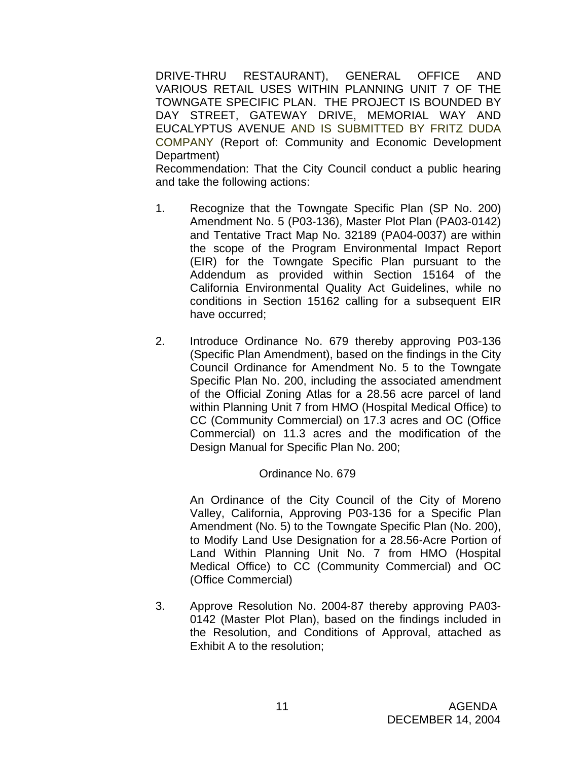DRIVE-THRU RESTAURANT), GENERAL OFFICE AND VARIOUS RETAIL USES WITHIN PLANNING UNIT 7 OF THE TOWNGATE SPECIFIC PLAN. THE PROJECT IS BOUNDED BY DAY STREET, GATEWAY DRIVE, MEMORIAL WAY AND EUCALYPTUS AVENUE AND IS SUBMITTED BY FRITZ DUDA COMPANY (Report of: Community and Economic Development Department)

 Recommendation: That the City Council conduct a public hearing and take the following actions:

- 1. Recognize that the Towngate Specific Plan (SP No. 200) Amendment No. 5 (P03-136), Master Plot Plan (PA03-0142) and Tentative Tract Map No. 32189 (PA04-0037) are within the scope of the Program Environmental Impact Report (EIR) for the Towngate Specific Plan pursuant to the Addendum as provided within Section 15164 of the California Environmental Quality Act Guidelines, while no conditions in Section 15162 calling for a subsequent EIR have occurred;
- 2. Introduce Ordinance No. 679 thereby approving P03-136 (Specific Plan Amendment), based on the findings in the City Council Ordinance for Amendment No. 5 to the Towngate Specific Plan No. 200, including the associated amendment of the Official Zoning Atlas for a 28.56 acre parcel of land within Planning Unit 7 from HMO (Hospital Medical Office) to CC (Community Commercial) on 17.3 acres and OC (Office Commercial) on 11.3 acres and the modification of the Design Manual for Specific Plan No. 200;

# Ordinance No. 679

An Ordinance of the City Council of the City of Moreno Valley, California, Approving P03-136 for a Specific Plan Amendment (No. 5) to the Towngate Specific Plan (No. 200), to Modify Land Use Designation for a 28.56-Acre Portion of Land Within Planning Unit No. 7 from HMO (Hospital Medical Office) to CC (Community Commercial) and OC (Office Commercial)

3. Approve Resolution No. 2004-87 thereby approving PA03- 0142 (Master Plot Plan), based on the findings included in the Resolution, and Conditions of Approval, attached as Exhibit A to the resolution;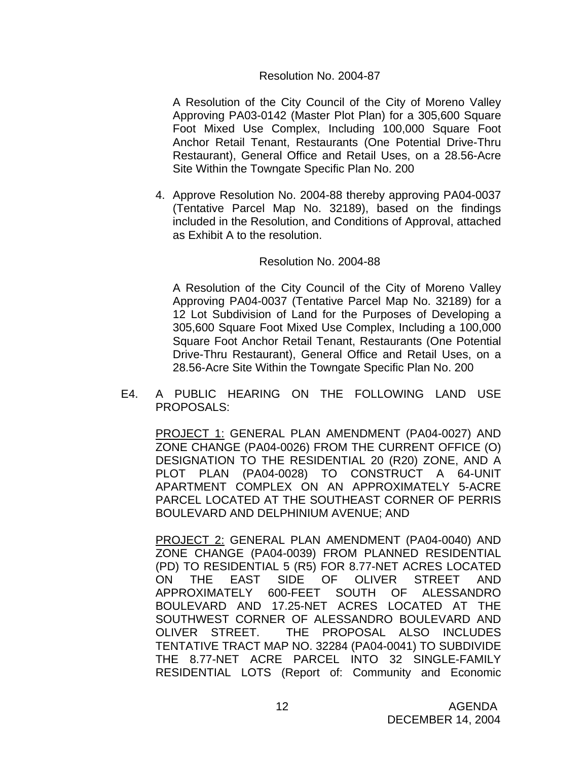A Resolution of the City Council of the City of Moreno Valley Approving PA03-0142 (Master Plot Plan) for a 305,600 Square Foot Mixed Use Complex, Including 100,000 Square Foot Anchor Retail Tenant, Restaurants (One Potential Drive-Thru Restaurant), General Office and Retail Uses, on a 28.56-Acre Site Within the Towngate Specific Plan No. 200

4. Approve Resolution No. 2004-88 thereby approving PA04-0037 (Tentative Parcel Map No. 32189), based on the findings included in the Resolution, and Conditions of Approval, attached as Exhibit A to the resolution.

#### Resolution No. 2004-88

 A Resolution of the City Council of the City of Moreno Valley Approving PA04-0037 (Tentative Parcel Map No. 32189) for a 12 Lot Subdivision of Land for the Purposes of Developing a 305,600 Square Foot Mixed Use Complex, Including a 100,000 Square Foot Anchor Retail Tenant, Restaurants (One Potential Drive-Thru Restaurant), General Office and Retail Uses, on a 28.56-Acre Site Within the Towngate Specific Plan No. 200

E4. A PUBLIC HEARING ON THE FOLLOWING LAND USE PROPOSALS:

PROJECT 1: GENERAL PLAN AMENDMENT (PA04-0027) AND ZONE CHANGE (PA04-0026) FROM THE CURRENT OFFICE (O) DESIGNATION TO THE RESIDENTIAL 20 (R20) ZONE, AND A PLOT PLAN (PA04-0028) TO CONSTRUCT A 64-UNIT APARTMENT COMPLEX ON AN APPROXIMATELY 5-ACRE PARCEL LOCATED AT THE SOUTHEAST CORNER OF PERRIS BOULEVARD AND DELPHINIUM AVENUE; AND

PROJECT 2: GENERAL PLAN AMENDMENT (PA04-0040) AND ZONE CHANGE (PA04-0039) FROM PLANNED RESIDENTIAL (PD) TO RESIDENTIAL 5 (R5) FOR 8.77-NET ACRES LOCATED ON THE EAST SIDE OF OLIVER STREET AND APPROXIMATELY 600-FEET SOUTH OF ALESSANDRO BOULEVARD AND 17.25-NET ACRES LOCATED AT THE SOUTHWEST CORNER OF ALESSANDRO BOULEVARD AND OLIVER STREET. THE PROPOSAL ALSO INCLUDES TENTATIVE TRACT MAP NO. 32284 (PA04-0041) TO SUBDIVIDE THE 8.77-NET ACRE PARCEL INTO 32 SINGLE-FAMILY RESIDENTIAL LOTS (Report of: Community and Economic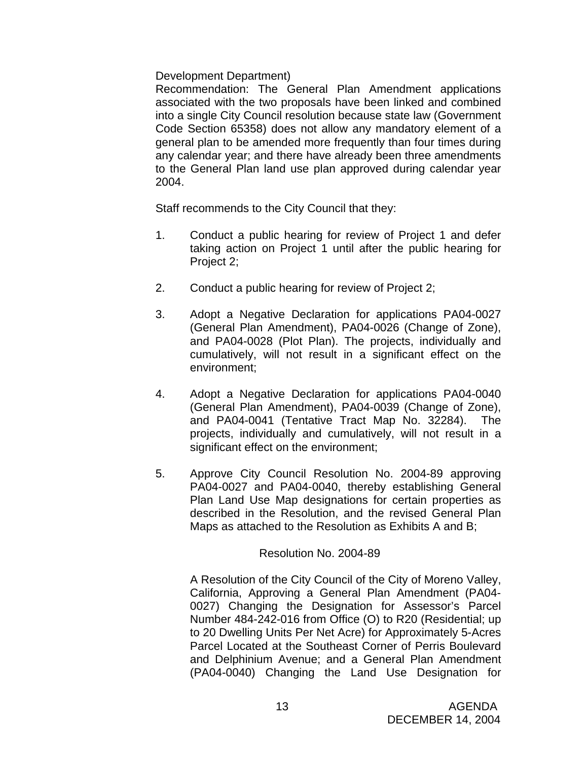# Development Department)

Recommendation: The General Plan Amendment applications associated with the two proposals have been linked and combined into a single City Council resolution because state law (Government Code Section 65358) does not allow any mandatory element of a general plan to be amended more frequently than four times during any calendar year; and there have already been three amendments to the General Plan land use plan approved during calendar year 2004.

Staff recommends to the City Council that they:

- 1. Conduct a public hearing for review of Project 1 and defer taking action on Project 1 until after the public hearing for Project 2;
- 2. Conduct a public hearing for review of Project 2;
- 3. Adopt a Negative Declaration for applications PA04-0027 (General Plan Amendment), PA04-0026 (Change of Zone), and PA04-0028 (Plot Plan). The projects, individually and cumulatively, will not result in a significant effect on the environment;
- 4. Adopt a Negative Declaration for applications PA04-0040 (General Plan Amendment), PA04-0039 (Change of Zone), and PA04-0041 (Tentative Tract Map No. 32284). The projects, individually and cumulatively, will not result in a significant effect on the environment;
- 5. Approve City Council Resolution No. 2004-89 approving PA04-0027 and PA04-0040, thereby establishing General Plan Land Use Map designations for certain properties as described in the Resolution, and the revised General Plan Maps as attached to the Resolution as Exhibits A and B;

# Resolution No. 2004-89

 A Resolution of the City Council of the City of Moreno Valley, California, Approving a General Plan Amendment (PA04- 0027) Changing the Designation for Assessor's Parcel Number 484-242-016 from Office (O) to R20 (Residential; up to 20 Dwelling Units Per Net Acre) for Approximately 5-Acres Parcel Located at the Southeast Corner of Perris Boulevard and Delphinium Avenue; and a General Plan Amendment (PA04-0040) Changing the Land Use Designation for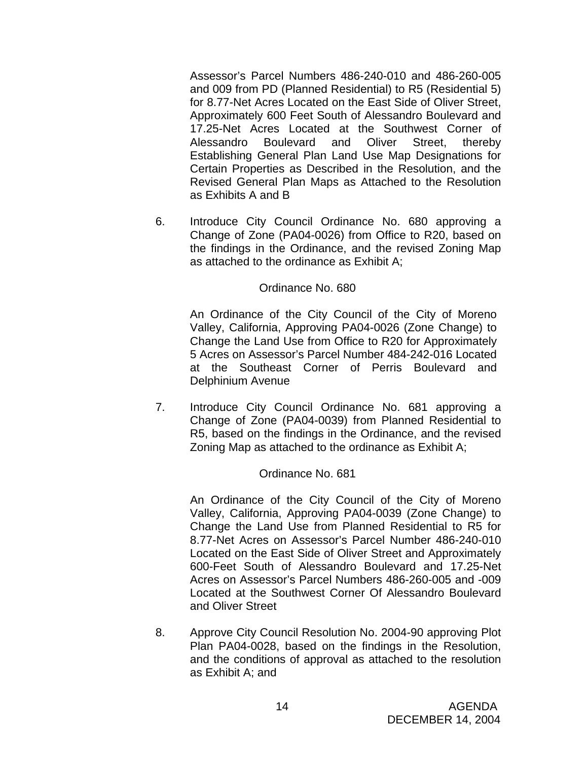Assessor's Parcel Numbers 486-240-010 and 486-260-005 and 009 from PD (Planned Residential) to R5 (Residential 5) for 8.77-Net Acres Located on the East Side of Oliver Street, Approximately 600 Feet South of Alessandro Boulevard and 17.25-Net Acres Located at the Southwest Corner of Alessandro Boulevard and Oliver Street, thereby Establishing General Plan Land Use Map Designations for Certain Properties as Described in the Resolution, and the Revised General Plan Maps as Attached to the Resolution as Exhibits A and B

 6. Introduce City Council Ordinance No. 680 approving a Change of Zone (PA04-0026) from Office to R20, based on the findings in the Ordinance, and the revised Zoning Map as attached to the ordinance as Exhibit A;

#### Ordinance No. 680

An Ordinance of the City Council of the City of Moreno Valley, California, Approving PA04-0026 (Zone Change) to Change the Land Use from Office to R20 for Approximately 5 Acres on Assessor's Parcel Number 484-242-016 Located at the Southeast Corner of Perris Boulevard and Delphinium Avenue

 7. Introduce City Council Ordinance No. 681 approving a Change of Zone (PA04-0039) from Planned Residential to R5, based on the findings in the Ordinance, and the revised Zoning Map as attached to the ordinance as Exhibit A;

#### Ordinance No. 681

 An Ordinance of the City Council of the City of Moreno Valley, California, Approving PA04-0039 (Zone Change) to Change the Land Use from Planned Residential to R5 for 8.77-Net Acres on Assessor's Parcel Number 486-240-010 Located on the East Side of Oliver Street and Approximately 600-Feet South of Alessandro Boulevard and 17.25-Net Acres on Assessor's Parcel Numbers 486-260-005 and -009 Located at the Southwest Corner Of Alessandro Boulevard and Oliver Street

 8. Approve City Council Resolution No. 2004-90 approving Plot Plan PA04-0028, based on the findings in the Resolution, and the conditions of approval as attached to the resolution as Exhibit A; and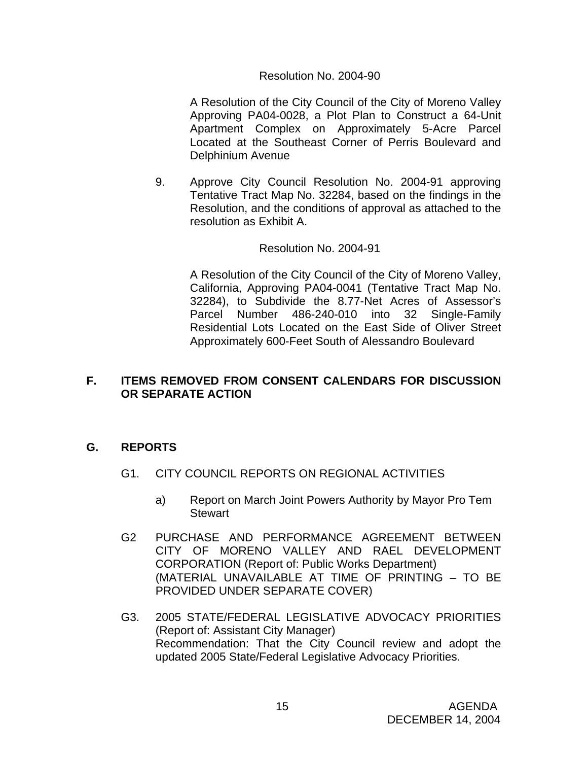A Resolution of the City Council of the City of Moreno Valley Approving PA04-0028, a Plot Plan to Construct a 64-Unit Apartment Complex on Approximately 5-Acre Parcel Located at the Southeast Corner of Perris Boulevard and Delphinium Avenue

9. Approve City Council Resolution No. 2004-91 approving Tentative Tract Map No. 32284, based on the findings in the Resolution, and the conditions of approval as attached to the resolution as Exhibit A.

#### Resolution No. 2004-91

A Resolution of the City Council of the City of Moreno Valley, California, Approving PA04-0041 (Tentative Tract Map No. 32284), to Subdivide the 8.77-Net Acres of Assessor's Parcel Number 486-240-010 into 32 Single-Family Residential Lots Located on the East Side of Oliver Street Approximately 600-Feet South of Alessandro Boulevard

# **F. ITEMS REMOVED FROM CONSENT CALENDARS FOR DISCUSSION OR SEPARATE ACTION**

# **G. REPORTS**

- G1. CITY COUNCIL REPORTS ON REGIONAL ACTIVITIES
	- a) Report on March Joint Powers Authority by Mayor Pro Tem **Stewart**
- G2 PURCHASE AND PERFORMANCE AGREEMENT BETWEEN CITY OF MORENO VALLEY AND RAEL DEVELOPMENT CORPORATION (Report of: Public Works Department) (MATERIAL UNAVAILABLE AT TIME OF PRINTING – TO BE PROVIDED UNDER SEPARATE COVER)
- G3. 2005 STATE/FEDERAL LEGISLATIVE ADVOCACY PRIORITIES (Report of: Assistant City Manager) Recommendation: That the City Council review and adopt the updated 2005 State/Federal Legislative Advocacy Priorities.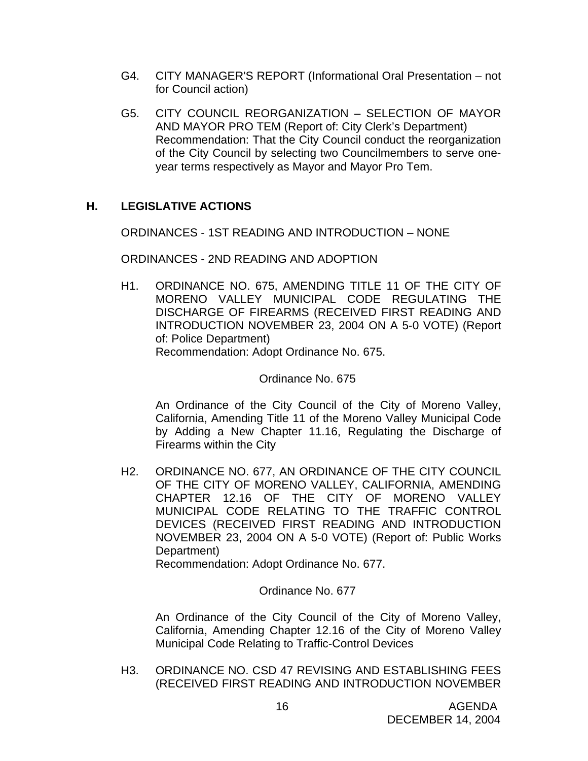- G4. CITY MANAGER'S REPORT (Informational Oral Presentation not for Council action)
- G5. CITY COUNCIL REORGANIZATION SELECTION OF MAYOR AND MAYOR PRO TEM (Report of: City Clerk's Department) Recommendation: That the City Council conduct the reorganization of the City Council by selecting two Councilmembers to serve oneyear terms respectively as Mayor and Mayor Pro Tem.

# **H. LEGISLATIVE ACTIONS**

ORDINANCES - 1ST READING AND INTRODUCTION – NONE

ORDINANCES - 2ND READING AND ADOPTION

H1. ORDINANCE NO. 675, AMENDING TITLE 11 OF THE CITY OF MORENO VALLEY MUNICIPAL CODE REGULATING THE DISCHARGE OF FIREARMS (RECEIVED FIRST READING AND INTRODUCTION NOVEMBER 23, 2004 ON A 5-0 VOTE) (Report of: Police Department) Recommendation: Adopt Ordinance No. 675.

Ordinance No. 675

 An Ordinance of the City Council of the City of Moreno Valley, California, Amending Title 11 of the Moreno Valley Municipal Code by Adding a New Chapter 11.16, Regulating the Discharge of Firearms within the City

H2. ORDINANCE NO. 677, AN ORDINANCE OF THE CITY COUNCIL OF THE CITY OF MORENO VALLEY, CALIFORNIA, AMENDING CHAPTER 12.16 OF THE CITY OF MORENO VALLEY MUNICIPAL CODE RELATING TO THE TRAFFIC CONTROL DEVICES (RECEIVED FIRST READING AND INTRODUCTION NOVEMBER 23, 2004 ON A 5-0 VOTE) (Report of: Public Works Department)

Recommendation: Adopt Ordinance No. 677.

Ordinance No. 677

 An Ordinance of the City Council of the City of Moreno Valley, California, Amending Chapter 12.16 of the City of Moreno Valley Municipal Code Relating to Traffic-Control Devices

H3. ORDINANCE NO. CSD 47 REVISING AND ESTABLISHING FEES (RECEIVED FIRST READING AND INTRODUCTION NOVEMBER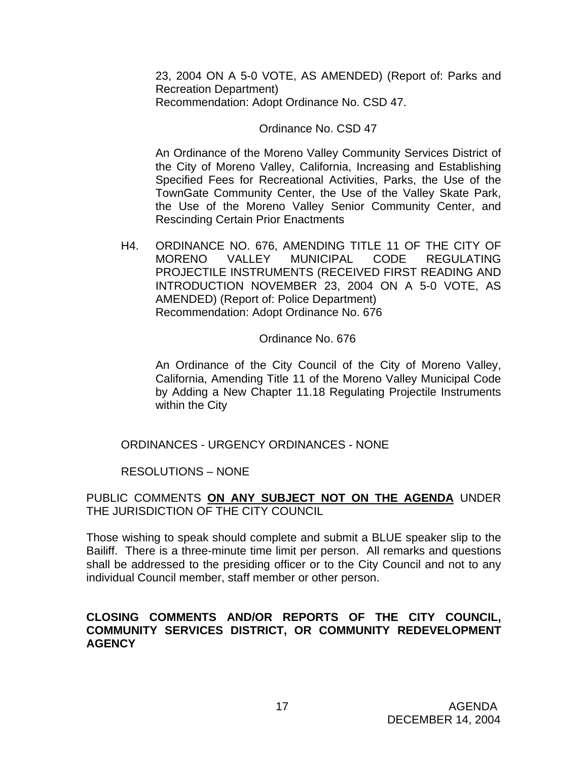23, 2004 ON A 5-0 VOTE, AS AMENDED) (Report of: Parks and Recreation Department) Recommendation: Adopt Ordinance No. CSD 47.

#### Ordinance No. CSD 47

An Ordinance of the Moreno Valley Community Services District of the City of Moreno Valley, California, Increasing and Establishing Specified Fees for Recreational Activities, Parks, the Use of the TownGate Community Center, the Use of the Valley Skate Park, the Use of the Moreno Valley Senior Community Center, and Rescinding Certain Prior Enactments

H4. ORDINANCE NO. 676, AMENDING TITLE 11 OF THE CITY OF MORENO VALLEY MUNICIPAL CODE REGULATING PROJECTILE INSTRUMENTS (RECEIVED FIRST READING AND INTRODUCTION NOVEMBER 23, 2004 ON A 5-0 VOTE, AS AMENDED) (Report of: Police Department) Recommendation: Adopt Ordinance No. 676

Ordinance No. 676

An Ordinance of the City Council of the City of Moreno Valley, California, Amending Title 11 of the Moreno Valley Municipal Code by Adding a New Chapter 11.18 Regulating Projectile Instruments within the City

ORDINANCES - URGENCY ORDINANCES - NONE

RESOLUTIONS – NONE

PUBLIC COMMENTS **ON ANY SUBJECT NOT ON THE AGENDA** UNDER THE JURISDICTION OF THE CITY COUNCIL

Those wishing to speak should complete and submit a BLUE speaker slip to the Bailiff. There is a three-minute time limit per person. All remarks and questions shall be addressed to the presiding officer or to the City Council and not to any individual Council member, staff member or other person.

# **CLOSING COMMENTS AND/OR REPORTS OF THE CITY COUNCIL, COMMUNITY SERVICES DISTRICT, OR COMMUNITY REDEVELOPMENT AGENCY**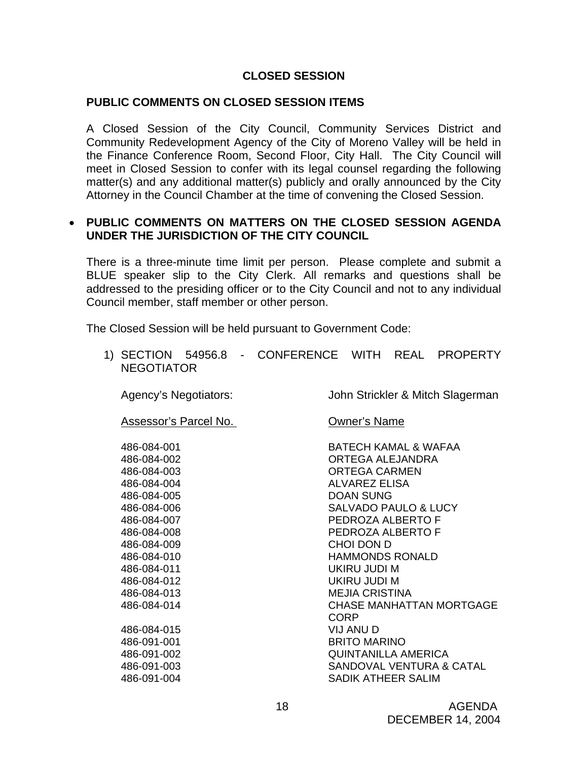# **CLOSED SESSION**

#### **PUBLIC COMMENTS ON CLOSED SESSION ITEMS**

A Closed Session of the City Council, Community Services District and Community Redevelopment Agency of the City of Moreno Valley will be held in the Finance Conference Room, Second Floor, City Hall. The City Council will meet in Closed Session to confer with its legal counsel regarding the following matter(s) and any additional matter(s) publicly and orally announced by the City Attorney in the Council Chamber at the time of convening the Closed Session.

# • **PUBLIC COMMENTS ON MATTERS ON THE CLOSED SESSION AGENDA UNDER THE JURISDICTION OF THE CITY COUNCIL**

There is a three-minute time limit per person. Please complete and submit a BLUE speaker slip to the City Clerk. All remarks and questions shall be addressed to the presiding officer or to the City Council and not to any individual Council member, staff member or other person.

The Closed Session will be held pursuant to Government Code:

1) SECTION 54956.8 - CONFERENCE WITH REAL PROPERTY NEGOTIATOR

Agency's Negotiators: John Strickler & Mitch Slagerman

Assessor's Parcel No. **Containert Containerty** Owner's Name

486-084-001 BATECH KAMAL & WAFAA 486-084-002 ORTEGA ALEJANDRA 486-084-003 ORTEGA CARMEN 486-084-004 ALVAREZ ELISA 486-084-005 DOAN SUNG 486-084-006 SALVADO PAULO & LUCY 486-084-007 PEDROZA ALBERTO F 486-084-008 PEDROZA ALBERTO F 486-084-009 CHOI DON D 486-084-010 HAMMONDS RONALD 486-084-011 UKIRU JUDI M 486-084-012 UKIRU JUDI M 486-084-013 MEJIA CRISTINA 486-084-014 CHASE MANHATTAN MORTGAGE **CORP CORP**  486-084-015 VIJ ANU D 486-091-001 BRITO MARINO